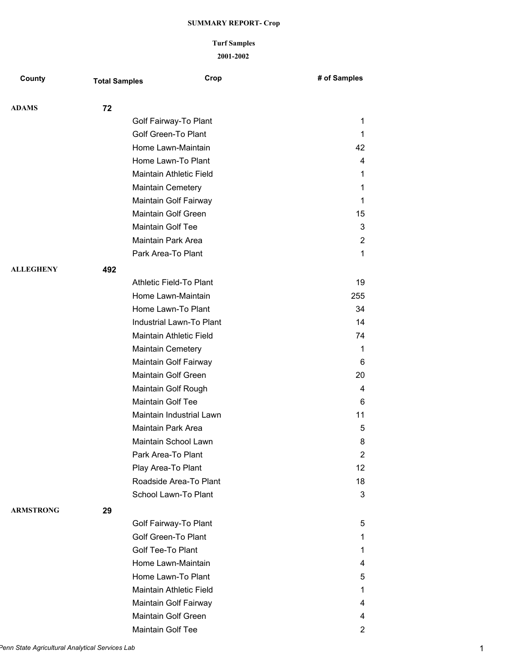# **Turf Samples**

| County           | <b>Total Samples</b> | Crop                           | # of Samples   |
|------------------|----------------------|--------------------------------|----------------|
| <b>ADAMS</b>     | 72                   |                                |                |
|                  |                      | Golf Fairway-To Plant          | 1              |
|                  |                      | <b>Golf Green-To Plant</b>     | 1              |
|                  |                      | Home Lawn-Maintain             | 42             |
|                  |                      | Home Lawn-To Plant             | 4              |
|                  |                      | <b>Maintain Athletic Field</b> | 1              |
|                  |                      | <b>Maintain Cemetery</b>       | 1              |
|                  |                      | Maintain Golf Fairway          | 1              |
|                  |                      | Maintain Golf Green            | 15             |
|                  |                      | <b>Maintain Golf Tee</b>       | 3              |
|                  |                      | Maintain Park Area             | $\overline{2}$ |
|                  |                      | Park Area-To Plant             | 1              |
| <b>ALLEGHENY</b> | 492                  |                                |                |
|                  |                      | <b>Athletic Field-To Plant</b> | 19             |
|                  |                      | Home Lawn-Maintain             | 255            |
|                  |                      | Home Lawn-To Plant             | 34             |
|                  |                      | Industrial Lawn-To Plant       | 14             |
|                  |                      | Maintain Athletic Field        | 74             |
|                  |                      | <b>Maintain Cemetery</b>       | 1              |
|                  |                      | Maintain Golf Fairway          | 6              |
|                  |                      | Maintain Golf Green            | 20             |
|                  |                      | Maintain Golf Rough            | 4              |
|                  |                      | <b>Maintain Golf Tee</b>       | 6              |
|                  |                      | Maintain Industrial Lawn       | 11             |
|                  |                      | Maintain Park Area             | 5              |
|                  |                      | Maintain School Lawn           | 8              |
|                  |                      | Park Area-To Plant             | $\overline{2}$ |
|                  |                      | Play Area-To Plant             | 12             |
|                  |                      | Roadside Area-To Plant         | 18             |
|                  |                      | School Lawn-To Plant           | 3              |
| <b>ARMSTRONG</b> | 29                   |                                |                |
|                  |                      | Golf Fairway-To Plant          | 5              |
|                  |                      | <b>Golf Green-To Plant</b>     | 1              |
|                  |                      | <b>Golf Tee-To Plant</b>       | 1              |
|                  |                      | Home Lawn-Maintain             | 4              |
|                  |                      | Home Lawn-To Plant             | 5              |
|                  |                      | Maintain Athletic Field        | 1              |
|                  |                      | Maintain Golf Fairway          | 4              |
|                  |                      | Maintain Golf Green            | 4              |
|                  |                      | Maintain Golf Tee              | $\overline{2}$ |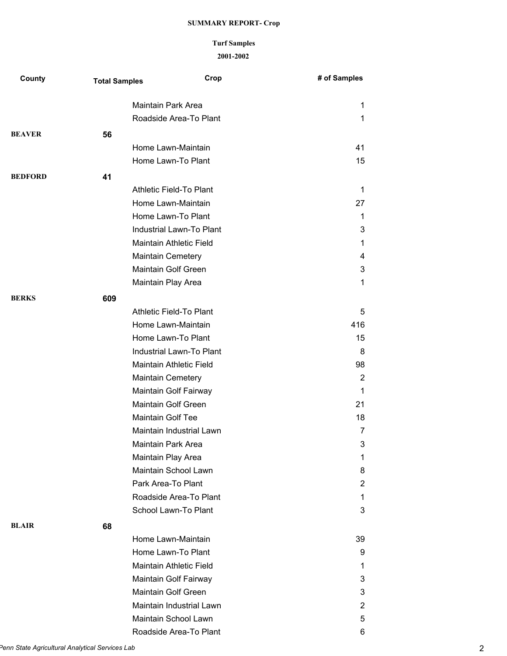### **Turf Samples**

| County         | <b>Total Samples</b> | Crop                           | # of Samples   |
|----------------|----------------------|--------------------------------|----------------|
|                |                      | <b>Maintain Park Area</b>      | 1              |
|                |                      | Roadside Area-To Plant         | $\mathbf{1}$   |
| <b>BEAVER</b>  | 56                   |                                |                |
|                |                      | Home Lawn-Maintain             | 41             |
|                |                      | Home Lawn-To Plant             | 15             |
| <b>BEDFORD</b> | 41                   |                                |                |
|                |                      | <b>Athletic Field-To Plant</b> | 1              |
|                |                      | Home Lawn-Maintain             | 27             |
|                |                      | Home Lawn-To Plant             | 1              |
|                |                      | Industrial Lawn-To Plant       | 3              |
|                |                      | Maintain Athletic Field        | $\mathbf{1}$   |
|                |                      | <b>Maintain Cemetery</b>       | 4              |
|                |                      | Maintain Golf Green            | 3              |
|                |                      | Maintain Play Area             | 1              |
| <b>BERKS</b>   | 609                  |                                |                |
|                |                      | <b>Athletic Field-To Plant</b> | 5              |
|                |                      | Home Lawn-Maintain             | 416            |
|                |                      | Home Lawn-To Plant             | 15             |
|                |                      | Industrial Lawn-To Plant       | 8              |
|                |                      | Maintain Athletic Field        | 98             |
|                |                      | <b>Maintain Cemetery</b>       | $\overline{2}$ |
|                |                      | Maintain Golf Fairway          | 1              |
|                |                      | <b>Maintain Golf Green</b>     | 21             |
|                |                      | <b>Maintain Golf Tee</b>       | 18             |
|                |                      | Maintain Industrial Lawn       | 7              |
|                |                      | Maintain Park Area             | 3              |
|                |                      | Maintain Play Area             | 1              |
|                |                      | Maintain School Lawn           | 8              |
|                |                      | Park Area-To Plant             | $\overline{2}$ |
|                |                      | Roadside Area-To Plant         | 1              |
|                |                      | School Lawn-To Plant           | 3              |
| <b>BLAIR</b>   | 68                   |                                |                |
|                |                      | Home Lawn-Maintain             | 39             |
|                |                      | Home Lawn-To Plant             | 9              |
|                |                      | <b>Maintain Athletic Field</b> | 1              |
|                |                      | Maintain Golf Fairway          | 3              |
|                |                      | Maintain Golf Green            | 3              |
|                |                      | Maintain Industrial Lawn       | $\overline{2}$ |
|                |                      | Maintain School Lawn           | 5              |
|                |                      | Roadside Area-To Plant         | 6              |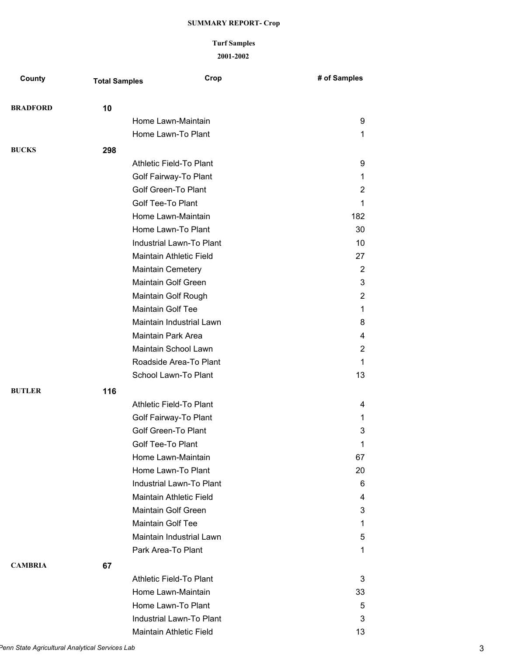# **Turf Samples**

| County          | <b>Total Samples</b> | Crop                           | # of Samples   |
|-----------------|----------------------|--------------------------------|----------------|
| <b>BRADFORD</b> | 10                   |                                |                |
|                 |                      | Home Lawn-Maintain             | 9              |
|                 |                      | Home Lawn-To Plant             | 1              |
| <b>BUCKS</b>    | 298                  |                                |                |
|                 |                      | <b>Athletic Field-To Plant</b> | 9              |
|                 |                      | Golf Fairway-To Plant          | 1              |
|                 |                      | Golf Green-To Plant            | 2              |
|                 |                      | Golf Tee-To Plant              | $\mathbf{1}$   |
|                 |                      | Home Lawn-Maintain             | 182            |
|                 |                      | Home Lawn-To Plant             | 30             |
|                 |                      | Industrial Lawn-To Plant       | 10             |
|                 |                      | <b>Maintain Athletic Field</b> | 27             |
|                 |                      | <b>Maintain Cemetery</b>       | 2              |
|                 |                      | Maintain Golf Green            | 3              |
|                 |                      | Maintain Golf Rough            | $\overline{2}$ |
|                 |                      | <b>Maintain Golf Tee</b>       | 1              |
|                 |                      | Maintain Industrial Lawn       | 8              |
|                 |                      | Maintain Park Area             | 4              |
|                 |                      | Maintain School Lawn           | $\overline{2}$ |
|                 |                      | Roadside Area-To Plant         | $\mathbf{1}$   |
|                 |                      | School Lawn-To Plant           | 13             |
| <b>BUTLER</b>   | 116                  |                                |                |
|                 |                      | <b>Athletic Field-To Plant</b> | 4              |
|                 |                      | Golf Fairway-To Plant          | 1              |
|                 |                      | Golf Green-To Plant            | 3              |
|                 |                      | Golf Tee-To Plant              | 1              |
|                 |                      | Home Lawn-Maintain             | 67             |
|                 |                      | Home Lawn-To Plant             | 20             |
|                 |                      | Industrial Lawn-To Plant       | 6              |
|                 |                      | <b>Maintain Athletic Field</b> | 4              |
|                 |                      | Maintain Golf Green            | 3              |
|                 |                      | <b>Maintain Golf Tee</b>       | 1              |
|                 |                      | Maintain Industrial Lawn       | 5              |
|                 |                      | Park Area-To Plant             | 1              |
| <b>CAMBRIA</b>  | 67                   |                                |                |
|                 |                      | <b>Athletic Field-To Plant</b> | 3              |
|                 |                      | Home Lawn-Maintain             | 33             |
|                 |                      | Home Lawn-To Plant             | 5              |
|                 |                      | Industrial Lawn-To Plant       | 3              |
|                 |                      | Maintain Athletic Field        | 13             |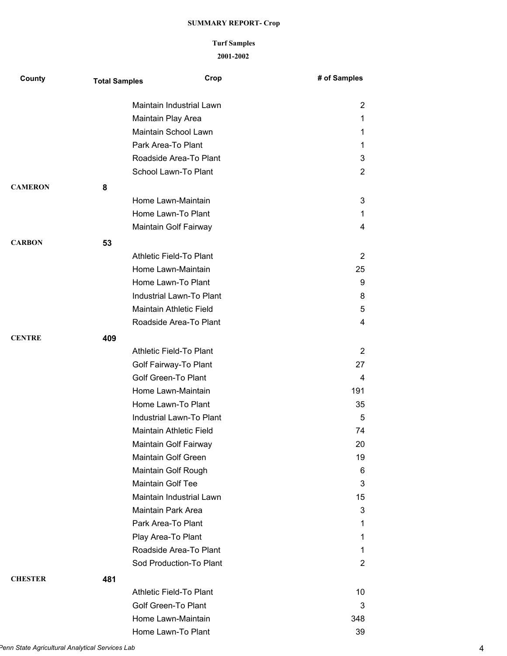#### **Turf Samples**

| County         | <b>Total Samples</b> | Crop                           | # of Samples   |
|----------------|----------------------|--------------------------------|----------------|
|                |                      | Maintain Industrial Lawn       |                |
|                |                      | Maintain Play Area             | 2<br>1         |
|                |                      | Maintain School Lawn           | 1              |
|                |                      | Park Area-To Plant             | 1              |
|                |                      | Roadside Area-To Plant         | 3              |
|                |                      | School Lawn-To Plant           | $\overline{2}$ |
|                |                      |                                |                |
| <b>CAMERON</b> | 8                    | Home Lawn-Maintain             | 3              |
|                |                      | Home Lawn-To Plant             | 1              |
|                |                      | Maintain Golf Fairway          | 4              |
|                |                      |                                |                |
| <b>CARBON</b>  | 53                   |                                |                |
|                |                      | <b>Athletic Field-To Plant</b> | $\overline{2}$ |
|                |                      | Home Lawn-Maintain             | 25             |
|                |                      | Home Lawn-To Plant             | 9              |
|                |                      | Industrial Lawn-To Plant       | 8              |
|                |                      | <b>Maintain Athletic Field</b> | 5              |
|                |                      | Roadside Area-To Plant         | 4              |
| <b>CENTRE</b>  | 409                  |                                |                |
|                |                      | Athletic Field-To Plant        | $\overline{2}$ |
|                |                      | Golf Fairway-To Plant          | 27             |
|                |                      | <b>Golf Green-To Plant</b>     | 4              |
|                |                      | Home Lawn-Maintain             | 191            |
|                |                      | Home Lawn-To Plant             | 35             |
|                |                      | Industrial Lawn-To Plant       | 5              |
|                |                      | Maintain Athletic Field        | 74             |
|                |                      | Maintain Golf Fairway          | 20             |
|                |                      | Maintain Golf Green            | 19             |
|                |                      | Maintain Golf Rough            | 6              |
|                |                      | Maintain Golf Tee              | 3              |
|                |                      | Maintain Industrial Lawn       | 15             |
|                |                      | Maintain Park Area             | 3              |
|                |                      | Park Area-To Plant             | 1              |
|                |                      | Play Area-To Plant             | 1              |
|                |                      | Roadside Area-To Plant         | 1              |
|                |                      | Sod Production-To Plant        | 2              |
| <b>CHESTER</b> | 481                  |                                |                |
|                |                      | <b>Athletic Field-To Plant</b> | 10             |
|                |                      | <b>Golf Green-To Plant</b>     | 3              |
|                |                      | Home Lawn-Maintain             | 348            |
|                |                      | Home Lawn-To Plant             | 39             |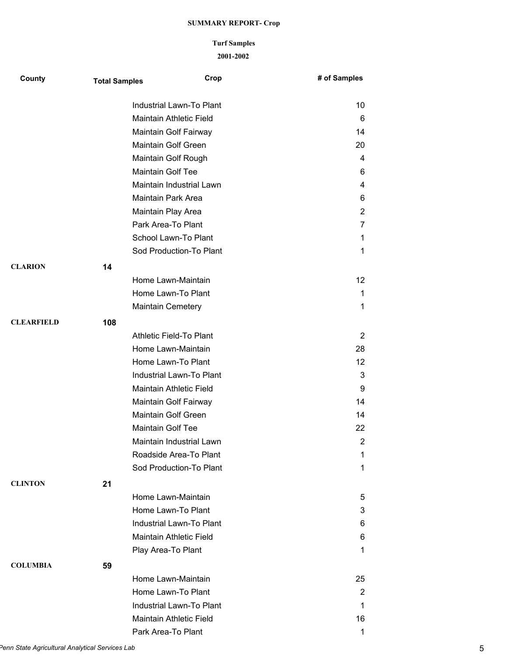### **Turf Samples**

| County            | <b>Total Samples</b> | Crop                                               | # of Samples   |
|-------------------|----------------------|----------------------------------------------------|----------------|
|                   |                      | Industrial Lawn-To Plant                           | 10             |
|                   |                      | Maintain Athletic Field                            | 6              |
|                   |                      | Maintain Golf Fairway                              | 14             |
|                   |                      | Maintain Golf Green                                | 20             |
|                   |                      | Maintain Golf Rough                                | 4              |
|                   |                      | <b>Maintain Golf Tee</b>                           | 6              |
|                   |                      | Maintain Industrial Lawn                           | 4              |
|                   |                      | Maintain Park Area                                 | 6              |
|                   |                      | Maintain Play Area                                 | $\overline{2}$ |
|                   |                      | Park Area-To Plant                                 | 7              |
|                   |                      | School Lawn-To Plant                               | 1              |
|                   |                      | Sod Production-To Plant                            | 1              |
| <b>CLARION</b>    | 14                   |                                                    |                |
|                   |                      | Home Lawn-Maintain                                 | 12             |
|                   |                      | Home Lawn-To Plant                                 | 1              |
|                   |                      | <b>Maintain Cemetery</b>                           | 1              |
| <b>CLEARFIELD</b> | 108                  |                                                    |                |
|                   |                      | <b>Athletic Field-To Plant</b>                     | $\overline{2}$ |
|                   |                      | Home Lawn-Maintain                                 | 28             |
|                   |                      | Home Lawn-To Plant                                 | 12             |
|                   |                      | Industrial Lawn-To Plant                           | 3              |
|                   |                      | Maintain Athletic Field                            | 9              |
|                   |                      |                                                    | 14             |
|                   |                      | Maintain Golf Fairway<br>Maintain Golf Green       | 14             |
|                   |                      | Maintain Golf Tee                                  | 22             |
|                   |                      |                                                    |                |
|                   |                      | Maintain Industrial Lawn<br>Roadside Area-To Plant | 2<br>1         |
|                   |                      | Sod Production-To Plant                            | 1              |
|                   |                      |                                                    |                |
| <b>CLINTON</b>    | 21                   |                                                    |                |
|                   |                      | Home Lawn-Maintain                                 | 5              |
|                   |                      | Home Lawn-To Plant                                 | 3              |
|                   |                      | Industrial Lawn-To Plant                           | 6              |
|                   |                      | <b>Maintain Athletic Field</b>                     | 6              |
|                   |                      | Play Area-To Plant                                 | 1              |
| <b>COLUMBIA</b>   | 59                   |                                                    |                |
|                   |                      | Home Lawn-Maintain                                 | 25             |
|                   |                      | Home Lawn-To Plant                                 | $\overline{2}$ |
|                   |                      | Industrial Lawn-To Plant                           | 1              |
|                   |                      | <b>Maintain Athletic Field</b>                     | 16             |
|                   |                      | Park Area-To Plant                                 | 1              |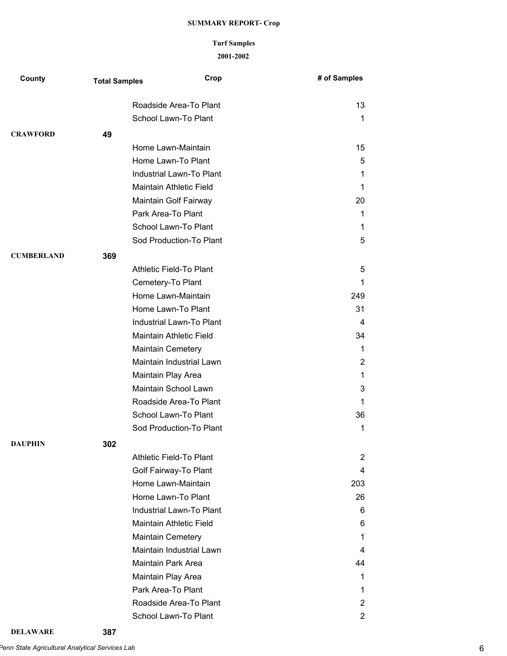# **Turf Samples**

| County            | <b>Total Samples</b> | Crop                           | # of Samples   |
|-------------------|----------------------|--------------------------------|----------------|
|                   |                      | Roadside Area-To Plant         | 13             |
|                   |                      | School Lawn-To Plant           | 1              |
| <b>CRAWFORD</b>   | 49                   |                                |                |
|                   |                      | Home Lawn-Maintain             | 15             |
|                   |                      | Home Lawn-To Plant             | 5              |
|                   |                      | Industrial Lawn-To Plant       | 1              |
|                   |                      | <b>Maintain Athletic Field</b> | 1              |
|                   |                      | Maintain Golf Fairway          | 20             |
|                   |                      | Park Area-To Plant             | 1              |
|                   |                      | School Lawn-To Plant           | 1              |
|                   |                      | Sod Production-To Plant        | 5              |
| <b>CUMBERLAND</b> | 369                  |                                |                |
|                   |                      | <b>Athletic Field-To Plant</b> | 5              |
|                   |                      | Cemetery-To Plant              | 1              |
|                   |                      | Home Lawn-Maintain             | 249            |
|                   |                      | Home Lawn-To Plant             | 31             |
|                   |                      | Industrial Lawn-To Plant       | 4              |
|                   |                      | Maintain Athletic Field        | 34             |
|                   |                      | <b>Maintain Cemetery</b>       | 1              |
|                   |                      | Maintain Industrial Lawn       | 2              |
|                   |                      | Maintain Play Area             | 1              |
|                   |                      | Maintain School Lawn           | 3              |
|                   |                      | Roadside Area-To Plant         | 1              |
|                   |                      | School Lawn-To Plant           | 36             |
|                   |                      | Sod Production-To Plant        | 1              |
| <b>DAUPHIN</b>    | 302                  |                                |                |
|                   |                      | <b>Athletic Field-To Plant</b> | 2              |
|                   |                      | Golf Fairway-To Plant          | 4              |
|                   |                      | Home Lawn-Maintain             | 203            |
|                   |                      | Home Lawn-To Plant             | 26             |
|                   |                      | Industrial Lawn-To Plant       | 6              |
|                   |                      | <b>Maintain Athletic Field</b> | 6              |
|                   |                      | <b>Maintain Cemetery</b>       | 1              |
|                   |                      | Maintain Industrial Lawn       | 4              |
|                   |                      | Maintain Park Area             | 44             |
|                   |                      | Maintain Play Area             | 1              |
|                   |                      | Park Area-To Plant             | 1              |
|                   |                      | Roadside Area-To Plant         | $\overline{2}$ |
|                   |                      | School Lawn-To Plant           | $\overline{2}$ |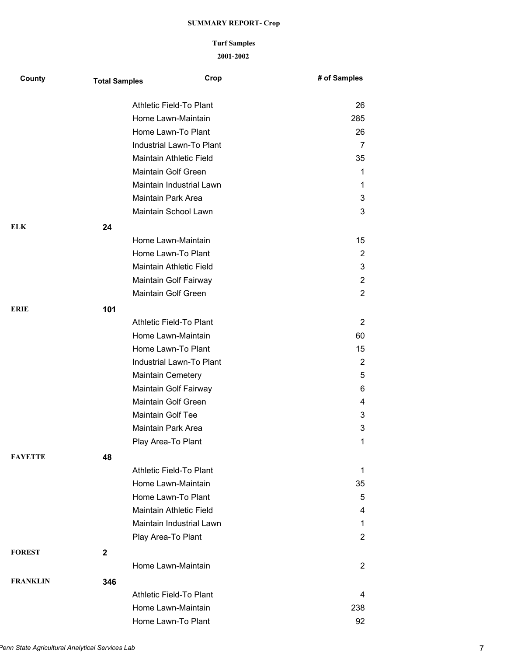### **Turf Samples**

| County          | <b>Total Samples</b> | Crop                           | # of Samples   |
|-----------------|----------------------|--------------------------------|----------------|
|                 |                      | <b>Athletic Field-To Plant</b> | 26             |
|                 |                      | Home Lawn-Maintain             | 285            |
|                 |                      | Home Lawn-To Plant             | 26             |
|                 |                      | Industrial Lawn-To Plant       | 7              |
|                 |                      | <b>Maintain Athletic Field</b> | 35             |
|                 |                      | Maintain Golf Green            | 1              |
|                 |                      | Maintain Industrial Lawn       | 1              |
|                 |                      | Maintain Park Area             | 3              |
|                 |                      | Maintain School Lawn           | 3              |
| ELK             | 24                   |                                |                |
|                 |                      | Home Lawn-Maintain             | 15             |
|                 |                      | Home Lawn-To Plant             | 2              |
|                 |                      | <b>Maintain Athletic Field</b> | 3              |
|                 |                      | Maintain Golf Fairway          | 2              |
|                 |                      | Maintain Golf Green            | $\overline{2}$ |
| ERIE            | 101                  |                                |                |
|                 |                      | Athletic Field-To Plant        | 2              |
|                 |                      | Home Lawn-Maintain             | 60             |
|                 |                      | Home Lawn-To Plant             | 15             |
|                 |                      | Industrial Lawn-To Plant       | 2              |
|                 |                      | <b>Maintain Cemetery</b>       | 5              |
|                 |                      | Maintain Golf Fairway          | 6              |
|                 |                      | Maintain Golf Green            | 4              |
|                 |                      | <b>Maintain Golf Tee</b>       | 3              |
|                 |                      | Maintain Park Area             | 3              |
|                 |                      | Play Area-To Plant             | 1              |
| FAYETTE         | 48                   |                                |                |
|                 |                      | <b>Athletic Field-To Plant</b> | 1              |
|                 |                      | Home Lawn-Maintain             | 35             |
|                 |                      | Home Lawn-To Plant             | 5              |
|                 |                      | <b>Maintain Athletic Field</b> | 4              |
|                 |                      | Maintain Industrial Lawn       | 1              |
|                 |                      | Play Area-To Plant             | $\overline{2}$ |
| <b>FOREST</b>   | $\mathbf{2}$         |                                |                |
|                 |                      | Home Lawn-Maintain             | 2              |
| <b>FRANKLIN</b> | 346                  |                                |                |
|                 |                      | Athletic Field-To Plant        | 4              |
|                 |                      | Home Lawn-Maintain             | 238            |
|                 |                      | Home Lawn-To Plant             | 92             |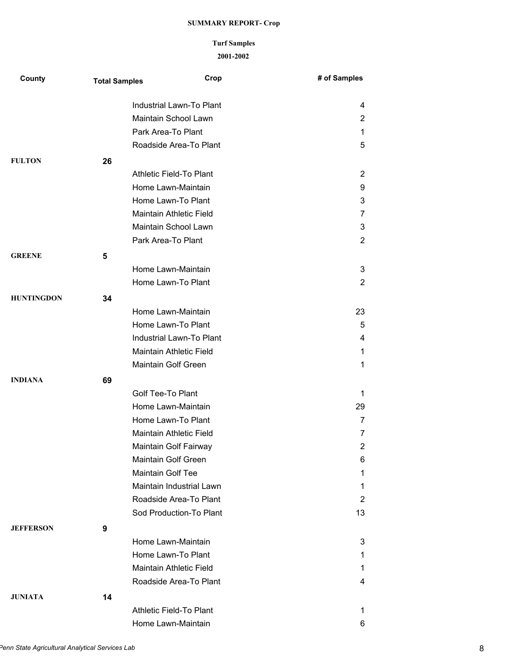## **Turf Samples**

| County            | <b>Total Samples</b> | Crop                           | # of Samples        |
|-------------------|----------------------|--------------------------------|---------------------|
|                   |                      | Industrial Lawn-To Plant       |                     |
|                   |                      | Maintain School Lawn           | 4<br>$\overline{2}$ |
|                   |                      | Park Area-To Plant             | $\mathbf{1}$        |
|                   |                      | Roadside Area-To Plant         | 5                   |
|                   |                      |                                |                     |
| <b>FULTON</b>     | 26                   |                                |                     |
|                   |                      | Athletic Field-To Plant        | 2                   |
|                   |                      | Home Lawn-Maintain             | 9                   |
|                   |                      | Home Lawn-To Plant             | 3                   |
|                   |                      | Maintain Athletic Field        | 7                   |
|                   |                      | Maintain School Lawn           | 3                   |
|                   |                      | Park Area-To Plant             | $\overline{2}$      |
| <b>GREENE</b>     | 5                    |                                |                     |
|                   |                      | Home Lawn-Maintain             | 3                   |
|                   |                      | Home Lawn-To Plant             | 2                   |
| <b>HUNTINGDON</b> | 34                   |                                |                     |
|                   |                      | Home Lawn-Maintain             | 23                  |
|                   |                      | Home Lawn-To Plant             | 5                   |
|                   |                      | Industrial Lawn-To Plant       | 4                   |
|                   |                      | <b>Maintain Athletic Field</b> | 1                   |
|                   |                      | Maintain Golf Green            | 1                   |
| <b>INDIANA</b>    | 69                   |                                |                     |
|                   |                      | <b>Golf Tee-To Plant</b>       | $\mathbf{1}$        |
|                   |                      | Home Lawn-Maintain             | 29                  |
|                   |                      | Home Lawn-To Plant             | 7                   |
|                   |                      | Maintain Athletic Field        | 7                   |
|                   |                      | Maintain Golf Fairway          | 2                   |
|                   |                      | <b>Maintain Golf Green</b>     | 6                   |
|                   |                      | Maintain Golf Tee              | 1                   |
|                   |                      | Maintain Industrial Lawn       | 1                   |
|                   |                      | Roadside Area-To Plant         | $\overline{2}$      |
|                   |                      | Sod Production-To Plant        | 13                  |
|                   |                      |                                |                     |
| <b>JEFFERSON</b>  | 9                    |                                |                     |
|                   |                      | Home Lawn-Maintain             | 3                   |
|                   |                      | Home Lawn-To Plant             | 1                   |
|                   |                      | Maintain Athletic Field        | 1                   |
|                   |                      | Roadside Area-To Plant         | 4                   |
| <b>JUNIATA</b>    | 14                   |                                |                     |
|                   |                      | <b>Athletic Field-To Plant</b> | 1                   |
|                   |                      | Home Lawn-Maintain             | 6                   |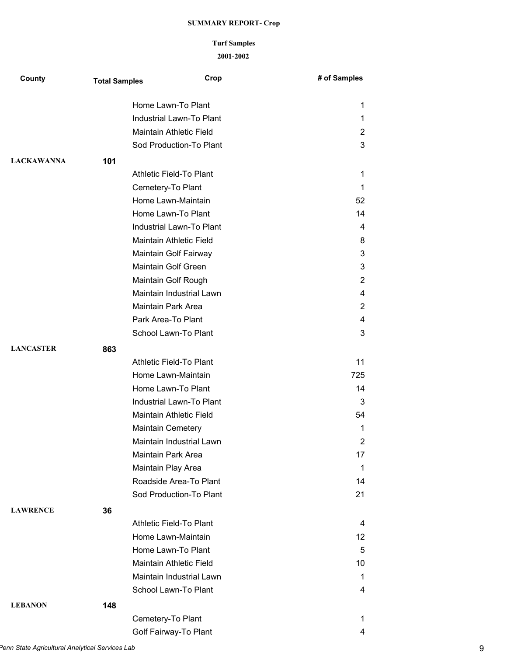# **Turf Samples**

| County            | <b>Total Samples</b> | Crop                            | # of Samples   |
|-------------------|----------------------|---------------------------------|----------------|
|                   |                      | Home Lawn-To Plant              | 1              |
|                   |                      | <b>Industrial Lawn-To Plant</b> | 1              |
|                   |                      | <b>Maintain Athletic Field</b>  | 2              |
|                   |                      | Sod Production-To Plant         | 3              |
| <b>LACKAWANNA</b> | 101                  |                                 |                |
|                   |                      | <b>Athletic Field-To Plant</b>  | 1              |
|                   |                      | Cemetery-To Plant               | 1              |
|                   |                      | Home Lawn-Maintain              | 52             |
|                   |                      | Home Lawn-To Plant              | 14             |
|                   |                      | Industrial Lawn-To Plant        | 4              |
|                   |                      | <b>Maintain Athletic Field</b>  | 8              |
|                   |                      | Maintain Golf Fairway           | 3              |
|                   |                      | <b>Maintain Golf Green</b>      | 3              |
|                   |                      | Maintain Golf Rough             | $\overline{2}$ |
|                   |                      | Maintain Industrial Lawn        | 4              |
|                   |                      | Maintain Park Area              | $\overline{2}$ |
|                   |                      | Park Area-To Plant              | 4              |
|                   |                      | School Lawn-To Plant            | 3              |
| <b>LANCASTER</b>  | 863                  |                                 |                |
|                   |                      | Athletic Field-To Plant         | 11             |
|                   |                      | Home Lawn-Maintain              | 725            |
|                   |                      | Home Lawn-To Plant              | 14             |
|                   |                      | <b>Industrial Lawn-To Plant</b> | 3              |
|                   |                      | Maintain Athletic Field         | 54             |
|                   |                      | <b>Maintain Cemetery</b>        | 1              |
|                   |                      | Maintain Industrial Lawn        | 2              |
|                   |                      | Maintain Park Area              | 17             |
|                   |                      | Maintain Play Area              | 1              |
|                   |                      | Roadside Area-To Plant          | 14             |
|                   |                      | Sod Production-To Plant         | 21             |
| <b>LAWRENCE</b>   | 36                   |                                 |                |
|                   |                      | <b>Athletic Field-To Plant</b>  | 4              |
|                   |                      | Home Lawn-Maintain              | 12             |
|                   |                      | Home Lawn-To Plant              | 5              |
|                   |                      | <b>Maintain Athletic Field</b>  | 10             |
|                   |                      | Maintain Industrial Lawn        | 1              |
|                   |                      | School Lawn-To Plant            | 4              |
| <b>LEBANON</b>    | 148                  |                                 |                |
|                   |                      | Cemetery-To Plant               | 1              |
|                   |                      | Golf Fairway-To Plant           | 4              |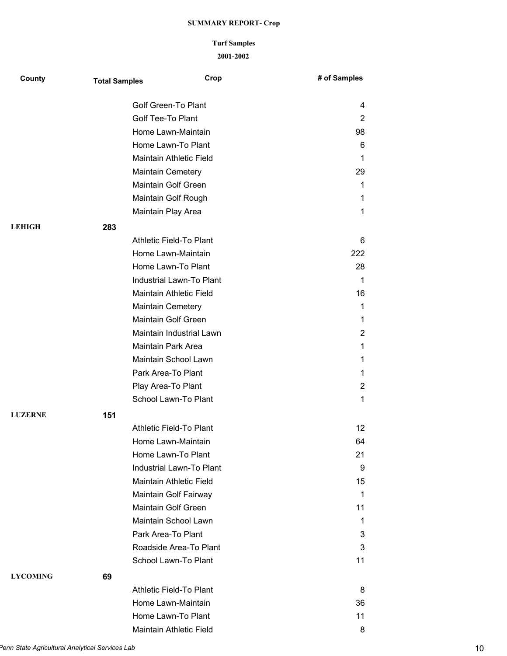## **Turf Samples**

| County         | <b>Total Samples</b> | Crop                           | # of Samples      |
|----------------|----------------------|--------------------------------|-------------------|
|                |                      | <b>Golf Green-To Plant</b>     | 4                 |
|                |                      | Golf Tee-To Plant              | 2                 |
|                |                      | Home Lawn-Maintain             | 98                |
|                |                      | Home Lawn-To Plant             | 6                 |
|                |                      | <b>Maintain Athletic Field</b> | 1                 |
|                |                      | <b>Maintain Cemetery</b>       | 29                |
|                |                      | <b>Maintain Golf Green</b>     | 1                 |
|                |                      | Maintain Golf Rough            | 1                 |
|                |                      | Maintain Play Area             | 1                 |
| <b>LEHIGH</b>  | 283                  |                                |                   |
|                |                      | <b>Athletic Field-To Plant</b> | 6                 |
|                |                      | Home Lawn-Maintain             | 222               |
|                |                      | Home Lawn-To Plant             | 28                |
|                |                      | Industrial Lawn-To Plant       | 1                 |
|                |                      | Maintain Athletic Field        | 16                |
|                |                      | <b>Maintain Cemetery</b>       | 1                 |
|                |                      | Maintain Golf Green            | 1                 |
|                |                      | Maintain Industrial Lawn       | 2                 |
|                |                      | Maintain Park Area             | 1                 |
|                |                      | Maintain School Lawn           | 1                 |
|                |                      | Park Area-To Plant             | 1                 |
|                |                      | Play Area-To Plant             | $\overline{2}$    |
|                |                      | School Lawn-To Plant           | 1                 |
| <b>LUZERNE</b> | 151                  |                                |                   |
|                |                      | <b>Athletic Field-To Plant</b> | $12 \overline{ }$ |
|                |                      | Home Lawn-Maintain             | 64                |
|                |                      | Home Lawn-To Plant             | 21                |
|                |                      | Industrial Lawn-To Plant       | 9                 |
|                |                      | Maintain Athletic Field        | 15                |
|                |                      | Maintain Golf Fairway          | 1                 |
|                |                      | Maintain Golf Green            | 11                |
|                |                      | Maintain School Lawn           | 1                 |
|                |                      | Park Area-To Plant             | 3                 |
|                |                      | Roadside Area-To Plant         | 3                 |
|                |                      | School Lawn-To Plant           | 11                |
| LYCOMING       | 69                   |                                |                   |
|                |                      | <b>Athletic Field-To Plant</b> | 8                 |
|                |                      | Home Lawn-Maintain             | 36                |
|                |                      | Home Lawn-To Plant             | 11                |
|                |                      | Maintain Athletic Field        | 8                 |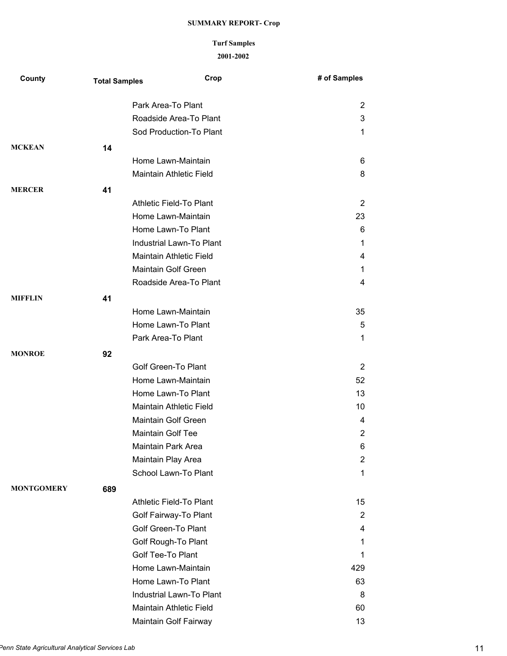## **Turf Samples**

| County            | <b>Total Samples</b> | Crop                            | # of Samples   |
|-------------------|----------------------|---------------------------------|----------------|
|                   |                      | Park Area-To Plant              | 2              |
|                   |                      | Roadside Area-To Plant          | 3              |
|                   |                      | Sod Production-To Plant         | $\mathbf{1}$   |
| <b>MCKEAN</b>     | 14                   |                                 |                |
|                   |                      | Home Lawn-Maintain              | 6              |
|                   |                      | Maintain Athletic Field         | 8              |
|                   |                      |                                 |                |
| <b>MERCER</b>     | 41                   | <b>Athletic Field-To Plant</b>  | $\overline{2}$ |
|                   |                      | Home Lawn-Maintain              | 23             |
|                   |                      | Home Lawn-To Plant              | 6              |
|                   |                      | <b>Industrial Lawn-To Plant</b> | 1              |
|                   |                      | <b>Maintain Athletic Field</b>  |                |
|                   |                      | <b>Maintain Golf Green</b>      | 4              |
|                   |                      |                                 | 1<br>4         |
|                   |                      | Roadside Area-To Plant          |                |
| <b>MIFFLIN</b>    | 41                   |                                 |                |
|                   |                      | Home Lawn-Maintain              | 35             |
|                   |                      | Home Lawn-To Plant              | 5              |
|                   |                      | Park Area-To Plant              | $\mathbf{1}$   |
| <b>MONROE</b>     | 92                   |                                 |                |
|                   |                      | <b>Golf Green-To Plant</b>      | $\overline{2}$ |
|                   |                      | Home Lawn-Maintain              | 52             |
|                   |                      | Home Lawn-To Plant              | 13             |
|                   |                      | <b>Maintain Athletic Field</b>  | 10             |
|                   |                      | Maintain Golf Green             | 4              |
|                   |                      | <b>Maintain Golf Tee</b>        | $\overline{2}$ |
|                   |                      | Maintain Park Area              | 6              |
|                   |                      | Maintain Play Area              | 2              |
|                   |                      | School Lawn-To Plant            | 1              |
| <b>MONTGOMERY</b> | 689                  |                                 |                |
|                   |                      | Athletic Field-To Plant         | 15             |
|                   |                      | Golf Fairway-To Plant           | $\overline{2}$ |
|                   |                      | <b>Golf Green-To Plant</b>      | 4              |
|                   |                      | Golf Rough-To Plant             | 1              |
|                   |                      | Golf Tee-To Plant               | $\mathbf 1$    |
|                   |                      | Home Lawn-Maintain              | 429            |
|                   |                      | Home Lawn-To Plant              | 63             |
|                   |                      | Industrial Lawn-To Plant        | 8              |
|                   |                      | Maintain Athletic Field         | 60             |
|                   |                      | Maintain Golf Fairway           | 13             |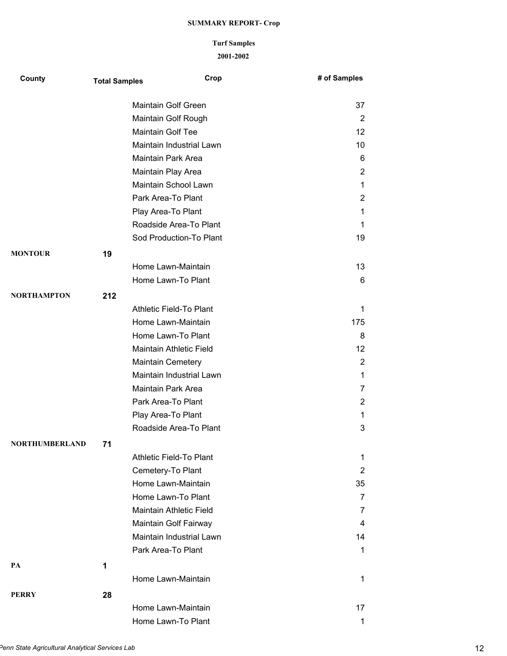### **Turf Samples**

| County         | <b>Total Samples</b> | Crop                           | # of Samples    |
|----------------|----------------------|--------------------------------|-----------------|
|                |                      | Maintain Golf Green            | 37              |
|                |                      | Maintain Golf Rough            | 2               |
|                |                      | <b>Maintain Golf Tee</b>       | 12              |
|                |                      | Maintain Industrial Lawn       | 10              |
|                |                      | Maintain Park Area             | 6               |
|                |                      | Maintain Play Area             | $\overline{2}$  |
|                |                      | Maintain School Lawn           | 1               |
|                |                      | Park Area-To Plant             | 2               |
|                |                      | Play Area-To Plant             | 1               |
|                |                      | Roadside Area-To Plant         | 1               |
|                |                      | Sod Production-To Plant        | 19              |
| <b>MONTOUR</b> | 19                   |                                |                 |
|                |                      | Home Lawn-Maintain             | 13              |
|                |                      | Home Lawn-To Plant             | 6               |
| NORTHAMPTON    | 212                  |                                |                 |
|                |                      | <b>Athletic Field-To Plant</b> | 1               |
|                |                      | Home Lawn-Maintain             | 175             |
|                |                      | Home Lawn-To Plant             | 8               |
|                |                      | Maintain Athletic Field        | 12 <sup>°</sup> |
|                |                      | <b>Maintain Cemetery</b>       | $\overline{2}$  |
|                |                      | Maintain Industrial Lawn       | 1               |
|                |                      | Maintain Park Area             | 7               |
|                |                      | Park Area-To Plant             | $\overline{2}$  |
|                |                      | Play Area-To Plant             | 1               |
|                |                      | Roadside Area-To Plant         | 3               |
| NORTHUMBERLAND | 71                   |                                |                 |
|                |                      | <b>Athletic Field-To Plant</b> | 1               |
|                |                      | Cemetery-To Plant              | $\overline{2}$  |
|                |                      | Home Lawn-Maintain             | 35              |
|                |                      | Home Lawn-To Plant             | 7               |
|                |                      | Maintain Athletic Field        | 7               |
|                |                      | Maintain Golf Fairway          | 4               |
|                |                      | Maintain Industrial Lawn       | 14              |
|                |                      | Park Area-To Plant             | 1               |
| PА             | 1                    |                                |                 |
|                |                      | Home Lawn-Maintain             | 1               |
| PERRY          | 28                   |                                |                 |
|                |                      | Home Lawn-Maintain             | 17              |
|                |                      | Home Lawn-To Plant             | 1               |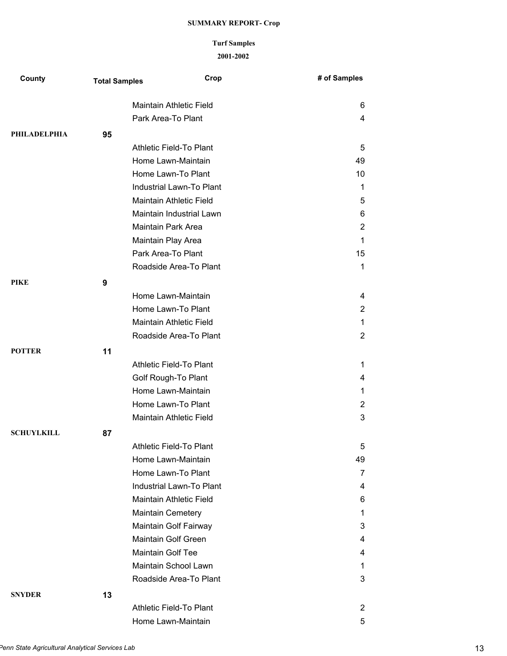## **Turf Samples**

| County              | <b>Total Samples</b> | Crop                           | # of Samples   |
|---------------------|----------------------|--------------------------------|----------------|
|                     |                      | Maintain Athletic Field        | 6              |
|                     |                      | Park Area-To Plant             | 4              |
| <b>PHILADELPHIA</b> | 95                   |                                |                |
|                     |                      | <b>Athletic Field-To Plant</b> | 5              |
|                     |                      | Home Lawn-Maintain             | 49             |
|                     |                      | Home Lawn-To Plant             | 10             |
|                     |                      | Industrial Lawn-To Plant       | 1              |
|                     |                      | <b>Maintain Athletic Field</b> | 5              |
|                     |                      | Maintain Industrial Lawn       | 6              |
|                     |                      | Maintain Park Area             | $\overline{2}$ |
|                     |                      | Maintain Play Area             | $\mathbf 1$    |
|                     |                      | Park Area-To Plant             | 15             |
|                     |                      | Roadside Area-To Plant         | 1              |
| <b>PIKE</b>         | 9                    |                                |                |
|                     |                      | Home Lawn-Maintain             | 4              |
|                     |                      | Home Lawn-To Plant             | $\overline{2}$ |
|                     |                      | Maintain Athletic Field        | 1              |
|                     |                      | Roadside Area-To Plant         | $\overline{2}$ |
| <b>POTTER</b>       | 11                   |                                |                |
|                     |                      | Athletic Field-To Plant        | 1              |
|                     |                      | Golf Rough-To Plant            | 4              |
|                     |                      | Home Lawn-Maintain             | 1              |
|                     |                      | Home Lawn-To Plant             | $\overline{2}$ |
|                     |                      | Maintain Athletic Field        | 3              |
| <b>SCHUYLKILL</b>   | 87                   |                                |                |
|                     |                      | Athletic Field-To Plant        | 5              |
|                     |                      | Home Lawn-Maintain             | 49             |
|                     |                      | Home Lawn-To Plant             | 7              |
|                     |                      | Industrial Lawn-To Plant       | 4              |
|                     |                      | <b>Maintain Athletic Field</b> | 6              |
|                     |                      | <b>Maintain Cemetery</b>       | 1              |
|                     |                      | Maintain Golf Fairway          | 3              |
|                     |                      | <b>Maintain Golf Green</b>     | 4              |
|                     |                      | <b>Maintain Golf Tee</b>       | 4              |
|                     |                      | Maintain School Lawn           | 1              |
|                     |                      | Roadside Area-To Plant         | 3              |
| <b>SNYDER</b>       | 13                   |                                |                |
|                     |                      | <b>Athletic Field-To Plant</b> | $\overline{2}$ |
|                     |                      | Home Lawn-Maintain             | 5              |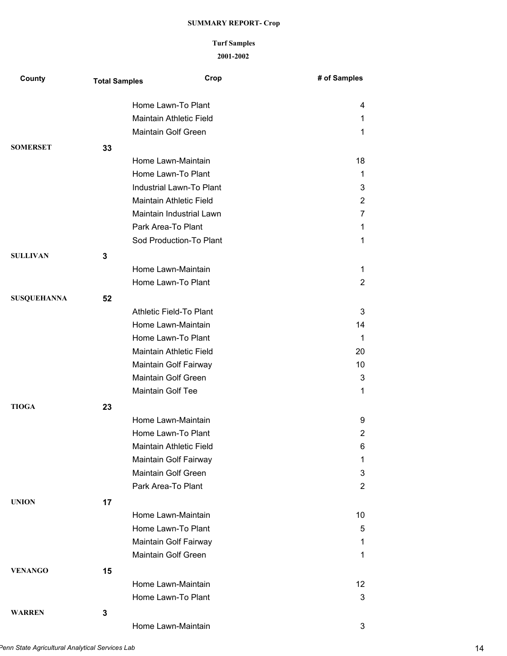## **Turf Samples**

| County             | <b>Total Samples</b> | Crop                           | # of Samples    |
|--------------------|----------------------|--------------------------------|-----------------|
|                    |                      | Home Lawn-To Plant             | 4               |
|                    |                      | <b>Maintain Athletic Field</b> | 1               |
|                    |                      | Maintain Golf Green            | 1               |
| <b>SOMERSET</b>    | 33                   |                                |                 |
|                    |                      | Home Lawn-Maintain             | 18              |
|                    |                      | Home Lawn-To Plant             | 1               |
|                    |                      | Industrial Lawn-To Plant       | 3               |
|                    |                      | Maintain Athletic Field        | $\overline{2}$  |
|                    |                      | Maintain Industrial Lawn       | $\overline{7}$  |
|                    |                      | Park Area-To Plant             | 1               |
|                    |                      | Sod Production-To Plant        | 1               |
| <b>SULLIVAN</b>    | 3                    |                                |                 |
|                    |                      | Home Lawn-Maintain             | 1               |
|                    |                      | Home Lawn-To Plant             | $\overline{2}$  |
|                    |                      |                                |                 |
| <b>SUSQUEHANNA</b> | 52                   |                                |                 |
|                    |                      | Athletic Field-To Plant        | 3               |
|                    |                      | Home Lawn-Maintain             | 14              |
|                    |                      | Home Lawn-To Plant             | 1               |
|                    |                      | <b>Maintain Athletic Field</b> | 20              |
|                    |                      | Maintain Golf Fairway          | 10              |
|                    |                      | Maintain Golf Green            | 3               |
|                    |                      | Maintain Golf Tee              | 1               |
| <b>TIOGA</b>       | 23                   |                                |                 |
|                    |                      | Home Lawn-Maintain             | 9               |
|                    |                      | Home Lawn-To Plant             | $\overline{2}$  |
|                    |                      | Maintain Athletic Field        | 6               |
|                    |                      | Maintain Golf Fairway          | 1               |
|                    |                      | Maintain Golf Green            | 3               |
|                    |                      | Park Area-To Plant             | $\overline{2}$  |
| <b>UNION</b>       | 17                   |                                |                 |
|                    |                      | Home Lawn-Maintain             | 10 <sup>°</sup> |
|                    |                      | Home Lawn-To Plant             | 5               |
|                    |                      | Maintain Golf Fairway          | 1               |
|                    |                      | Maintain Golf Green            | $\mathbf{1}$    |
| <b>VENANGO</b>     | 15                   |                                |                 |
|                    |                      | Home Lawn-Maintain             | 12 <sup>°</sup> |
|                    |                      | Home Lawn-To Plant             | 3               |
| <b>WARREN</b>      | 3                    |                                |                 |
|                    |                      | Home Lawn-Maintain             | 3               |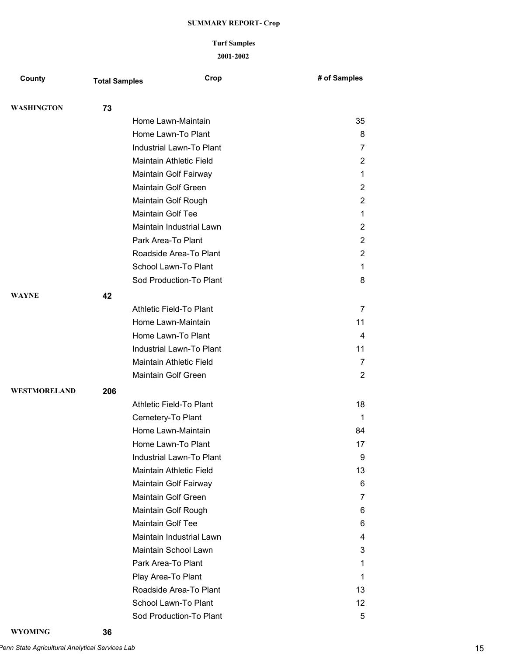# **Turf Samples**

| County              | <b>Total Samples</b> | Crop                           | # of Samples   |
|---------------------|----------------------|--------------------------------|----------------|
| <b>WASHINGTON</b>   | 73                   |                                |                |
|                     |                      | Home Lawn-Maintain             | 35             |
|                     |                      | Home Lawn-To Plant             | 8              |
|                     |                      | Industrial Lawn-To Plant       | 7              |
|                     |                      | Maintain Athletic Field        | 2              |
|                     |                      | Maintain Golf Fairway          | 1              |
|                     |                      | Maintain Golf Green            | 2              |
|                     |                      | Maintain Golf Rough            | $\overline{2}$ |
|                     |                      | <b>Maintain Golf Tee</b>       | 1              |
|                     |                      | Maintain Industrial Lawn       | 2              |
|                     |                      | Park Area-To Plant             | 2              |
|                     |                      | Roadside Area-To Plant         | 2              |
|                     |                      | School Lawn-To Plant           | 1              |
|                     |                      | Sod Production-To Plant        | 8              |
| <b>WAYNE</b>        |                      |                                |                |
|                     | 42                   | <b>Athletic Field-To Plant</b> | 7              |
|                     |                      | Home Lawn-Maintain             | 11             |
|                     |                      | Home Lawn-To Plant             | 4              |
|                     |                      | Industrial Lawn-To Plant       | 11             |
|                     |                      | <b>Maintain Athletic Field</b> | 7              |
|                     |                      | Maintain Golf Green            | 2              |
|                     |                      |                                |                |
| <b>WESTMORELAND</b> | 206                  |                                |                |
|                     |                      | <b>Athletic Field-To Plant</b> | 18             |
|                     |                      | Cemetery-To Plant              | 1              |
|                     |                      | Home Lawn-Maintain             | 84             |
|                     |                      | Home Lawn-To Plant             | 17             |
|                     |                      | Industrial Lawn-To Plant       | 9              |
|                     |                      | Maintain Athletic Field        | 13             |
|                     |                      | Maintain Golf Fairway          | 6              |
|                     |                      | Maintain Golf Green            | 7              |
|                     |                      | Maintain Golf Rough            | 6              |
|                     |                      | Maintain Golf Tee              | 6              |
|                     |                      | Maintain Industrial Lawn       | 4              |
|                     |                      | Maintain School Lawn           | 3              |
|                     |                      | Park Area-To Plant             | 1              |
|                     |                      | Play Area-To Plant             | 1              |
|                     |                      | Roadside Area-To Plant         | 13             |
|                     |                      | School Lawn-To Plant           | 12             |
|                     |                      | Sod Production-To Plant        | 5              |